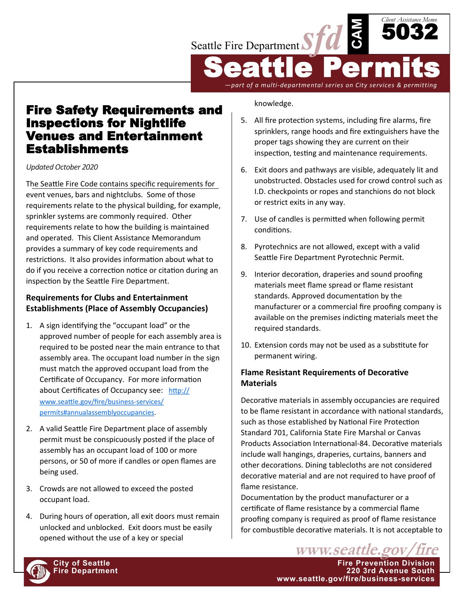

Fire Safety Requirements and Inspections for Nightlife Venues and Entertainment Establishments

*Updated October 2020*

The Seattle Fire Code contains specific requirements for event venues, bars and nightclubs. Some of those requirements relate to the physical building, for example, sprinkler systems are commonly required. Other requirements relate to how the building is maintained and operated. This Client Assistance Memorandum provides a summary of key code requirements and restrictions. It also provides information about what to do if you receive a correction notice or citation during an inspection by the Seattle Fire Department.

## **Requirements for Clubs and Entertainment Establishments (Place of Assembly Occupancies)**

- 1. A sign identifying the "occupant load" or the approved number of people for each assembly area is required to be posted near the main entrance to that assembly area. The occupant load number in the sign must match the approved occupant load from the Certificate of Occupancy. For more information about Certificates of Occupancy see: [http://](http://www.seattle.gov/fire/business-services/permits#annualassemblyoccupancies) [www.seattle.gov/fire/business](http://www.seattle.gov/fire/business-services/permits#annualassemblyoccupancies)-services/ [permits#annualassemblyoccupancies.](http://www.seattle.gov/fire/business-services/permits#annualassemblyoccupancies)
- 2. A valid Seattle Fire Department place of assembly permit must be conspicuously posted if the place of assembly has an occupant load of 100 or more persons, or 50 of more if candles or open flames are being used.
- 3. Crowds are not allowed to exceed the posted occupant load.
- 4. During hours of operation, all exit doors must remain unlocked and unblocked. Exit doors must be easily opened without the use of a key or special

knowledge.

5. All fire protection systems, including fire alarms, fire sprinklers, range hoods and fire extinguishers have the proper tags showing they are current on their inspection, testing and maintenance requirements.

*—part of a multi-departmental series on City services & permitting*

- 6. Exit doors and pathways are visible, adequately lit and unobstructed. Obstacles used for crowd control such as I.D. checkpoints or ropes and stanchions do not block or restrict exits in any way.
- 7. Use of candles is permitted when following permit conditions.
- 8. Pyrotechnics are not allowed, except with a valid Seattle Fire Department Pyrotechnic Permit.
- 9. Interior decoration, draperies and sound proofing materials meet flame spread or flame resistant standards. Approved documentation by the manufacturer or a commercial fire proofing company is available on the premises indicting materials meet the required standards.
- 10. Extension cords may not be used as a substitute for permanent wiring.

# **Flame Resistant Requirements of Decorative Materials**

Decorative materials in assembly occupancies are required to be flame resistant in accordance with national standards, such as those established by National Fire Protection Standard 701, California State Fire Marshal or Canvas Products Association International-84. Decorative materials include wall hangings, draperies, curtains, banners and other decorations. Dining tablecloths are not considered decorative material and are not required to have proof of flame resistance.

Documentation by the product manufacturer or a certificate of flame resistance by a commercial flame proofing company is required as proof of flame resistance for combustible decorative materials. It is not acceptable to

**City of Seattle Fire Prevention Division Fire Department 220 3rd Avenue South www.seattle.gov/fire/business-services**

www.seattle.gov